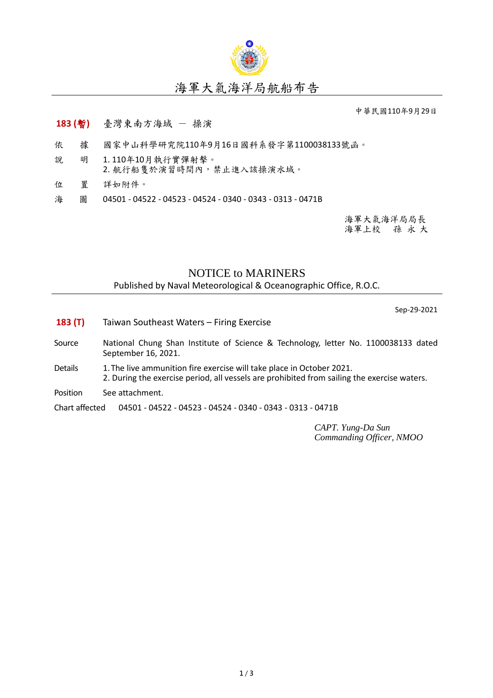

## 海軍大氣海洋局航船布告

中華民國110年9月29日

## **183 (**暫**)** 臺灣東南方海域 - 操演

- 依 據 國家中山科學研究院110年9月16日國科系發字第1100038133號函。
- 說 明 1. 110年10月執行實彈射擊。 2. 航行船隻於演習時間內,禁止進入該操演水域。
- 
- 位 置 詳如附件。
- 海 圖 04501 04522 04523 04524 0340 0343 0313 0471B

海軍大氣海洋局局長 海軍上校 孫 永 大

## NOTICE to MARINERS

Published by Naval Meteorological & Oceanographic Office, R.O.C.

Sep-29-2021

- **183 (T)** Taiwan Southeast Waters Firing Exercise
- Source National Chung Shan Institute of Science & Technology, letter No. 1100038133 dated September 16, 2021.
- Details 1. The live ammunition fire exercise will take place in October 2021. 2. During the exercise period, all vessels are prohibited from sailing the exercise waters.
- Position See attachment.

Chart affected 04501 - 04522 - 04523 - 04524 - 0340 - 0343 - 0313 - 0471B

*CAPT. Yung-Da Sun Commanding Officer, NMOO*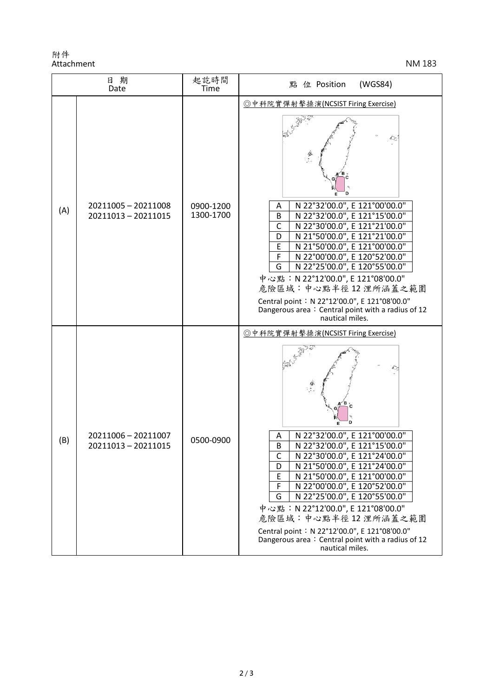附件 Attachment NM 183

| 日期<br>Date |                                            | 起訖時間<br>Time           | 點 位 Position<br>(WGS84)                                                                                                                                                                                                                                                                                                                                                                                                                                                                                                  |
|------------|--------------------------------------------|------------------------|--------------------------------------------------------------------------------------------------------------------------------------------------------------------------------------------------------------------------------------------------------------------------------------------------------------------------------------------------------------------------------------------------------------------------------------------------------------------------------------------------------------------------|
| (A)        | 20211005 - 20211008<br>20211013 - 20211015 | 0900-1200<br>1300-1700 | ◎中科院實彈射擊操演(NCSIST Firing Exercise)<br>Е<br>N 22°32'00.0", E 121°00'00.0"<br>Α<br>N 22°32'00.0", E 121°15'00.0"<br>B<br>N 22°30'00.0", E 121°21'00.0"<br>$\mathsf{C}$<br>N 21°50'00.0", E 121°21'00.0"<br>D<br>N 21°50'00.0", E 121°00'00.0"<br>E<br>N 22°00'00.0", E 120°52'00.0"<br>F<br>N 22°25'00.0", E 120°55'00.0"<br>G<br>中心點: N 22°12'00.0", E 121°08'00.0"<br>危險區域:中心點半徑12浬所涵蓋之範圍<br>Central point: N 22°12'00.0", E 121°08'00.0"<br>Dangerous area: Central point with a radius of 12<br>nautical miles.        |
| (B)        | 20211006 - 20211007<br>20211013 - 20211015 | 0500-0900              | ◎中科院實彈射擊操演(NCSIST Firing Exercise)<br>r∕B<br>D<br>N 22°32'00.0", E 121°00'00.0"<br>А<br>N 22°32'00.0", E 121°15'00.0"<br>B<br>N 22°30'00.0", E 121°24'00.0"<br>$\mathsf{C}$<br>N 21°50'00.0", E 121°24'00.0"<br>D<br>N 21°50'00.0", E 121°00'00.0"<br>Ε<br>F<br>N 22°00'00.0", E 120°52'00.0"<br>G<br>N 22°25'00.0", E 120°55'00.0"<br>中心點: N 22°12'00.0", E 121°08'00.0"<br>危險區域:中心點半徑12浬所涵蓋之範圍<br>Central point: N 22°12'00.0", E 121°08'00.0"<br>Dangerous area: Central point with a radius of 12<br>nautical miles. |